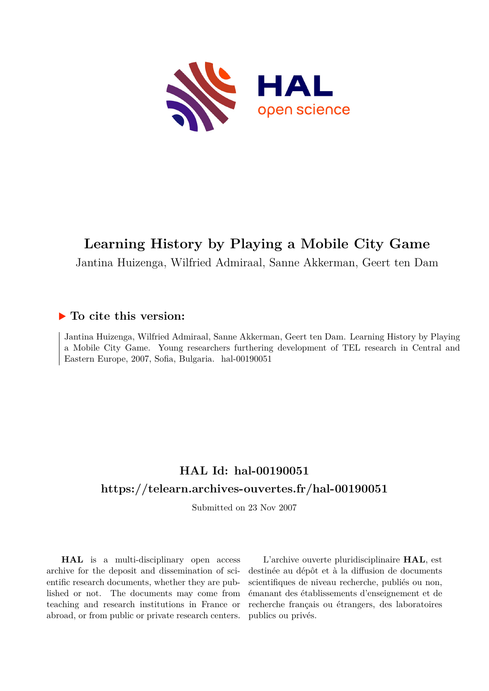

# **Learning History by Playing a Mobile City Game**

Jantina Huizenga, Wilfried Admiraal, Sanne Akkerman, Geert ten Dam

# **To cite this version:**

Jantina Huizenga, Wilfried Admiraal, Sanne Akkerman, Geert ten Dam. Learning History by Playing a Mobile City Game. Young researchers furthering development of TEL research in Central and Eastern Europe, 2007, Sofia, Bulgaria. hal-00190051

# **HAL Id: hal-00190051 <https://telearn.archives-ouvertes.fr/hal-00190051>**

Submitted on 23 Nov 2007

**HAL** is a multi-disciplinary open access archive for the deposit and dissemination of scientific research documents, whether they are published or not. The documents may come from teaching and research institutions in France or abroad, or from public or private research centers.

L'archive ouverte pluridisciplinaire **HAL**, est destinée au dépôt et à la diffusion de documents scientifiques de niveau recherche, publiés ou non, émanant des établissements d'enseignement et de recherche français ou étrangers, des laboratoires publics ou privés.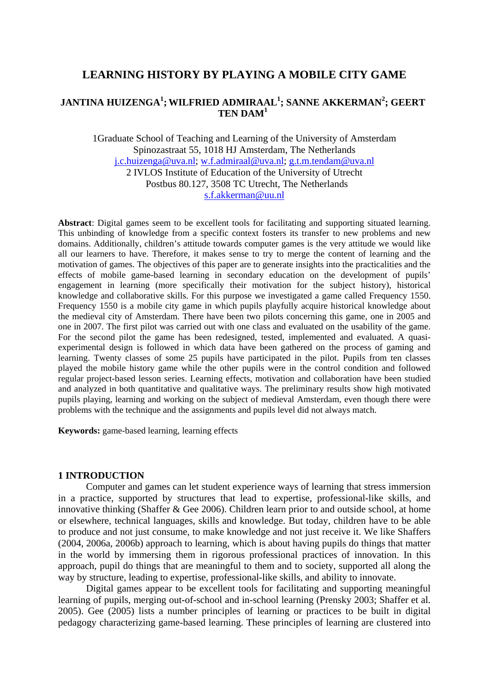# **LEARNING HISTORY BY PLAYING A MOBILE CITY GAME**

# **JANTINA HUIZENGA<sup>1</sup> ; WILFRIED ADMIRAAL1 ; SANNE AKKERMAN2 ; GEERT TEN DAM<sup>1</sup>**

1Graduate School of Teaching and Learning of the University of Amsterdam Spinozastraat 55, 1018 HJ Amsterdam, The Netherlands [j.c.huizenga@uva.nl](mailto:j.c.huizenga@uva.nl); [w.f.admiraal@uva.nl;](mailto:w.f.admiraal@uva.nl) [g.t.m.tendam@uva.nl](mailto:g.t.m.tendam@uva.nl) 2 IVLOS Institute of Education of the University of Utrecht Postbus 80.127, 3508 TC Utrecht, The Netherlands [s.f.akkerman@uu.nl](mailto:s.f.akkerman@uu.nl)

**Abstract**: Digital games seem to be excellent tools for facilitating and supporting situated learning. This unbinding of knowledge from a specific context fosters its transfer to new problems and new domains. Additionally, children's attitude towards computer games is the very attitude we would like all our learners to have. Therefore, it makes sense to try to merge the content of learning and the motivation of games. The objectives of this paper are to generate insights into the practicalities and the effects of mobile game-based learning in secondary education on the development of pupils' engagement in learning (more specifically their motivation for the subject history), historical knowledge and collaborative skills. For this purpose we investigated a game called Frequency 1550. Frequency 1550 is a mobile city game in which pupils playfully acquire historical knowledge about the medieval city of Amsterdam. There have been two pilots concerning this game, one in 2005 and one in 2007. The first pilot was carried out with one class and evaluated on the usability of the game. For the second pilot the game has been redesigned, tested, implemented and evaluated. A quasiexperimental design is followed in which data have been gathered on the process of gaming and learning. Twenty classes of some 25 pupils have participated in the pilot. Pupils from ten classes played the mobile history game while the other pupils were in the control condition and followed regular project-based lesson series. Learning effects, motivation and collaboration have been studied and analyzed in both quantitative and qualitative ways. The preliminary results show high motivated pupils playing, learning and working on the subject of medieval Amsterdam, even though there were problems with the technique and the assignments and pupils level did not always match.

**Keywords:** game-based learning, learning effects

#### **1 INTRODUCTION**

Computer and games can let student experience ways of learning that stress immersion in a practice, supported by structures that lead to expertise, professional-like skills, and innovative thinking (Shaffer & Gee 2006). Children learn prior to and outside school, at home or elsewhere, technical languages, skills and knowledge. But today, children have to be able to produce and not just consume, to make knowledge and not just receive it. We like Shaffers (2004, 2006a, 2006b) approach to learning, which is about having pupils do things that matter in the world by immersing them in rigorous professional practices of innovation. In this approach, pupil do things that are meaningful to them and to society, supported all along the way by structure, leading to expertise, professional-like skills, and ability to innovate.

Digital games appear to be excellent tools for facilitating and supporting meaningful learning of pupils, merging out-of-school and in-school learning (Prensky 2003; Shaffer et al. 2005). Gee (2005) lists a number principles of learning or practices to be built in digital pedagogy characterizing game-based learning. These principles of learning are clustered into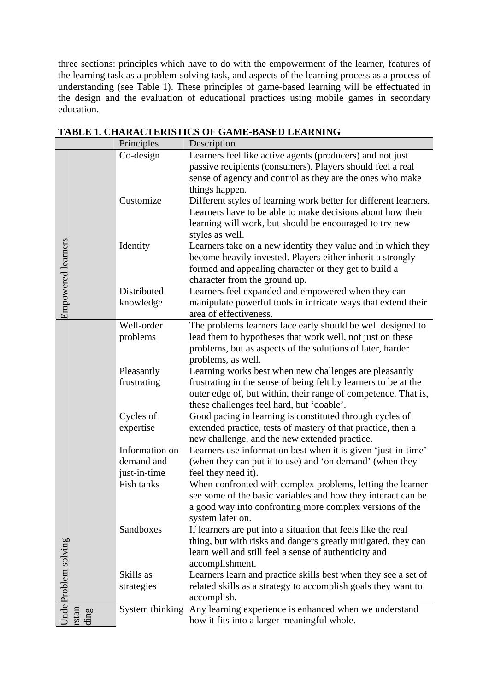three sections: principles which have to do with the empowerment of the learner, features of the learning task as a problem-solving task, and aspects of the learning process as a process of understanding (see Table 1). These principles of game-based learning will be effectuated in the design and the evaluation of educational practices using mobile games in secondary education.

|                              | Principles      | Description                                                      |  |  |  |
|------------------------------|-----------------|------------------------------------------------------------------|--|--|--|
|                              | Co-design       | Learners feel like active agents (producers) and not just        |  |  |  |
|                              |                 | passive recipients (consumers). Players should feel a real       |  |  |  |
|                              |                 | sense of agency and control as they are the ones who make        |  |  |  |
|                              |                 | things happen.                                                   |  |  |  |
|                              | Customize       | Different styles of learning work better for different learners. |  |  |  |
|                              |                 | Learners have to be able to make decisions about how their       |  |  |  |
| Empowered learners           |                 | learning will work, but should be encouraged to try new          |  |  |  |
|                              |                 | styles as well.                                                  |  |  |  |
|                              | Identity        | Learners take on a new identity they value and in which they     |  |  |  |
|                              |                 | become heavily invested. Players either inherit a strongly       |  |  |  |
|                              |                 | formed and appealing character or they get to build a            |  |  |  |
|                              |                 | character from the ground up.                                    |  |  |  |
|                              | Distributed     | Learners feel expanded and empowered when they can               |  |  |  |
|                              | knowledge       | manipulate powerful tools in intricate ways that extend their    |  |  |  |
|                              |                 | area of effectiveness.                                           |  |  |  |
|                              | Well-order      | The problems learners face early should be well designed to      |  |  |  |
|                              | problems        | lead them to hypotheses that work well, not just on these        |  |  |  |
|                              |                 | problems, but as aspects of the solutions of later, harder       |  |  |  |
|                              |                 | problems, as well.                                               |  |  |  |
|                              | Pleasantly      | Learning works best when new challenges are pleasantly           |  |  |  |
|                              | frustrating     | frustrating in the sense of being felt by learners to be at the  |  |  |  |
|                              |                 | outer edge of, but within, their range of competence. That is,   |  |  |  |
|                              |                 | these challenges feel hard, but 'doable'.                        |  |  |  |
|                              | Cycles of       | Good pacing in learning is constituted through cycles of         |  |  |  |
|                              | expertise       | extended practice, tests of mastery of that practice, then a     |  |  |  |
|                              |                 | new challenge, and the new extended practice.                    |  |  |  |
|                              | Information on  | Learners use information best when it is given 'just-in-time'    |  |  |  |
|                              | demand and      | (when they can put it to use) and 'on demand' (when they         |  |  |  |
|                              | just-in-time    | feel they need it).                                              |  |  |  |
|                              | Fish tanks      | When confronted with complex problems, letting the learner       |  |  |  |
|                              |                 | see some of the basic variables and how they interact can be     |  |  |  |
|                              |                 | a good way into confronting more complex versions of the         |  |  |  |
|                              |                 | system later on.                                                 |  |  |  |
|                              | Sandboxes       | If learners are put into a situation that feels like the real    |  |  |  |
|                              |                 | thing, but with risks and dangers greatly mitigated, they can    |  |  |  |
|                              |                 | learn well and still feel a sense of authenticity and            |  |  |  |
|                              |                 | accomplishment.                                                  |  |  |  |
|                              | Skills as       | Learners learn and practice skills best when they see a set of   |  |  |  |
|                              | strategies      | related skills as a strategy to accomplish goals they want to    |  |  |  |
|                              |                 | accomplish.                                                      |  |  |  |
| Jnde Problem solving<br>ding | System thinking | Any learning experience is enhanced when we understand           |  |  |  |
|                              |                 | how it fits into a larger meaningful whole.                      |  |  |  |

**TABLE 1. CHARACTERISTICS OF GAME-BASED LEARNING**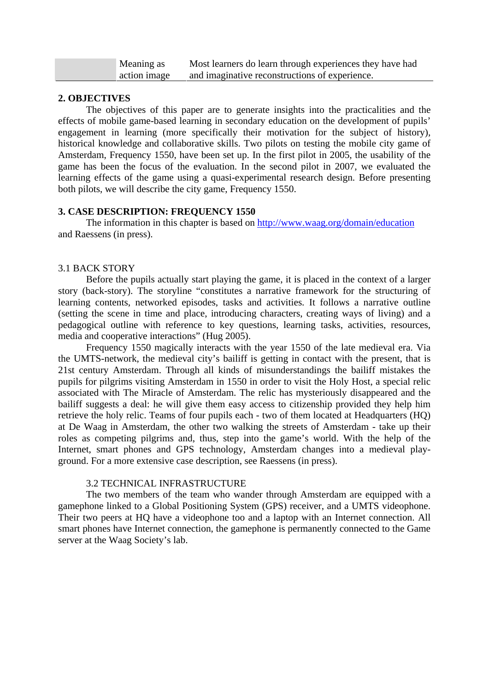| Meaning as   | Most learners do learn through experiences they have had |
|--------------|----------------------------------------------------------|
| action image | and imaginative reconstructions of experience.           |

#### **2. OBJECTIVES**

The objectives of this paper are to generate insights into the practicalities and the effects of mobile game-based learning in secondary education on the development of pupils' engagement in learning (more specifically their motivation for the subject of history), historical knowledge and collaborative skills. Two pilots on testing the mobile city game of Amsterdam, Frequency 1550, have been set up. In the first pilot in 2005, the usability of the game has been the focus of the evaluation. In the second pilot in 2007, we evaluated the learning effects of the game using a quasi-experimental research design. Before presenting both pilots, we will describe the city game, Frequency 1550.

## **3. CASE DESCRIPTION: FREQUENCY 1550**

The information in this chapter is based on <http://www.waag.org/domain/education> and Raessens (in press).

#### 3.1 BACK STORY

Before the pupils actually start playing the game, it is placed in the context of a larger story (back-story). The storyline "constitutes a narrative framework for the structuring of learning contents, networked episodes, tasks and activities. It follows a narrative outline (setting the scene in time and place, introducing characters, creating ways of living) and a pedagogical outline with reference to key questions, learning tasks, activities, resources, media and cooperative interactions" (Hug 2005).

Frequency 1550 magically interacts with the year 1550 of the late medieval era. Via the UMTS-network, the medieval city's bailiff is getting in contact with the present, that is 21st century Amsterdam. Through all kinds of misunderstandings the bailiff mistakes the pupils for pilgrims visiting Amsterdam in 1550 in order to visit the Holy Host, a special relic associated with The Miracle of Amsterdam. The relic has mysteriously disappeared and the bailiff suggests a deal: he will give them easy access to citizenship provided they help him retrieve the holy relic. Teams of four pupils each - two of them located at Headquarters (HQ) at De Waag in Amsterdam, the other two walking the streets of Amsterdam - take up their roles as competing pilgrims and, thus, step into the game's world. With the help of the Internet, smart phones and GPS technology, Amsterdam changes into a medieval playground. For a more extensive case description, see Raessens (in press).

#### 3.2 TECHNICAL INFRASTRUCTURE

The two members of the team who wander through Amsterdam are equipped with a gamephone linked to a Global Positioning System (GPS) receiver, and a UMTS videophone. Their two peers at HQ have a videophone too and a laptop with an Internet connection. All smart phones have Internet connection, the gamephone is permanently connected to the Game server at the Waag Society's lab.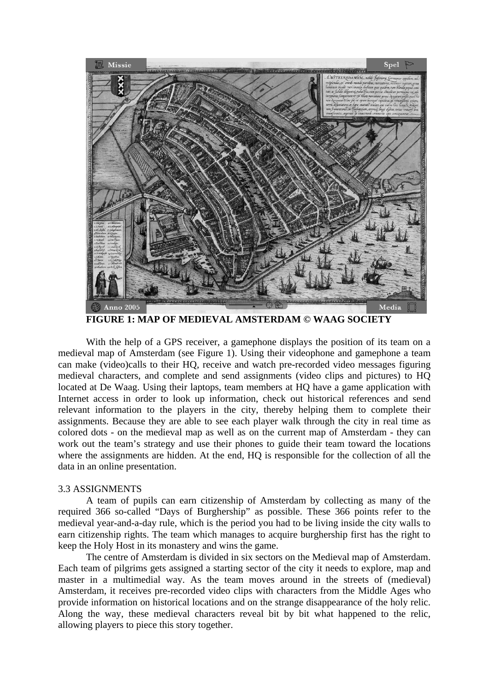

**FIGURE 1: MAP OF MEDIEVAL AMSTERDAM © WAAG SOCIETY** 

With the help of a GPS receiver, a gamephone displays the position of its team on a medieval map of Amsterdam (see Figure 1). Using their videophone and gamephone a team can make (video)calls to their HQ, receive and watch pre-recorded video messages figuring medieval characters, and complete and send assignments (video clips and pictures) to HQ located at De Waag. Using their laptops, team members at HQ have a game application with Internet access in order to look up information, check out historical references and send relevant information to the players in the city, thereby helping them to complete their assignments. Because they are able to see each player walk through the city in real time as colored dots - on the medieval map as well as on the current map of Amsterdam - they can work out the team's strategy and use their phones to guide their team toward the locations where the assignments are hidden. At the end, HQ is responsible for the collection of all the data in an online presentation.

## 3.3 ASSIGNMENTS

A team of pupils can earn citizenship of Amsterdam by collecting as many of the required 366 so-called "Days of Burghership" as possible. These 366 points refer to the medieval year-and-a-day rule, which is the period you had to be living inside the city walls to earn citizenship rights. The team which manages to acquire burghership first has the right to keep the Holy Host in its monastery and wins the game.

The centre of Amsterdam is divided in six sectors on the Medieval map of Amsterdam. Each team of pilgrims gets assigned a starting sector of the city it needs to explore, map and master in a multimedial way. As the team moves around in the streets of (medieval) Amsterdam, it receives pre-recorded video clips with characters from the Middle Ages who provide information on historical locations and on the strange disappearance of the holy relic. Along the way, these medieval characters reveal bit by bit what happened to the relic, allowing players to piece this story together.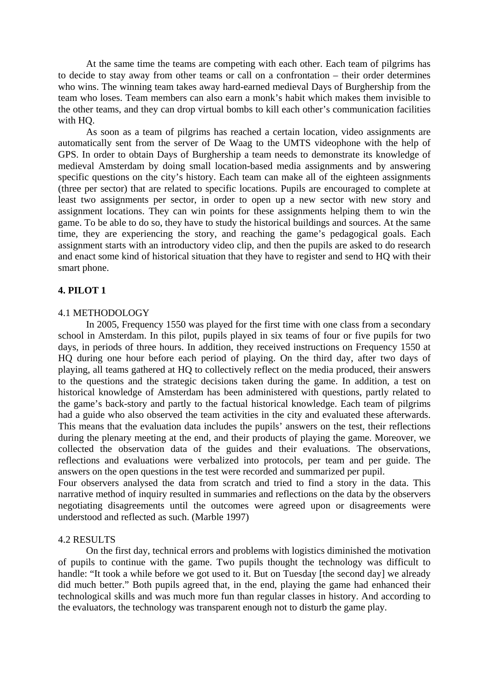At the same time the teams are competing with each other. Each team of pilgrims has to decide to stay away from other teams or call on a confrontation – their order determines who wins. The winning team takes away hard-earned medieval Days of Burghership from the team who loses. Team members can also earn a monk's habit which makes them invisible to the other teams, and they can drop virtual bombs to kill each other's communication facilities with HQ.

As soon as a team of pilgrims has reached a certain location, video assignments are automatically sent from the server of De Waag to the UMTS videophone with the help of GPS. In order to obtain Days of Burghership a team needs to demonstrate its knowledge of medieval Amsterdam by doing small location-based media assignments and by answering specific questions on the city's history. Each team can make all of the eighteen assignments (three per sector) that are related to specific locations. Pupils are encouraged to complete at least two assignments per sector, in order to open up a new sector with new story and assignment locations. They can win points for these assignments helping them to win the game. To be able to do so, they have to study the historical buildings and sources. At the same time, they are experiencing the story, and reaching the game's pedagogical goals. Each assignment starts with an introductory video clip, and then the pupils are asked to do research and enact some kind of historical situation that they have to register and send to HQ with their smart phone.

## **4. PILOT 1**

#### 4.1 METHODOLOGY

In 2005, Frequency 1550 was played for the first time with one class from a secondary school in Amsterdam. In this pilot, pupils played in six teams of four or five pupils for two days, in periods of three hours. In addition, they received instructions on Frequency 1550 at HQ during one hour before each period of playing. On the third day, after two days of playing, all teams gathered at HQ to collectively reflect on the media produced, their answers to the questions and the strategic decisions taken during the game. In addition, a test on historical knowledge of Amsterdam has been administered with questions, partly related to the game's back-story and partly to the factual historical knowledge. Each team of pilgrims had a guide who also observed the team activities in the city and evaluated these afterwards. This means that the evaluation data includes the pupils' answers on the test, their reflections during the plenary meeting at the end, and their products of playing the game. Moreover, we collected the observation data of the guides and their evaluations. The observations, reflections and evaluations were verbalized into protocols, per team and per guide. The answers on the open questions in the test were recorded and summarized per pupil.

Four observers analysed the data from scratch and tried to find a story in the data. This narrative method of inquiry resulted in summaries and reflections on the data by the observers negotiating disagreements until the outcomes were agreed upon or disagreements were understood and reflected as such. (Marble 1997)

#### 4.2 RESULTS

On the first day, technical errors and problems with logistics diminished the motivation of pupils to continue with the game. Two pupils thought the technology was difficult to handle: "It took a while before we got used to it. But on Tuesday [the second day] we already did much better." Both pupils agreed that, in the end, playing the game had enhanced their technological skills and was much more fun than regular classes in history. And according to the evaluators, the technology was transparent enough not to disturb the game play.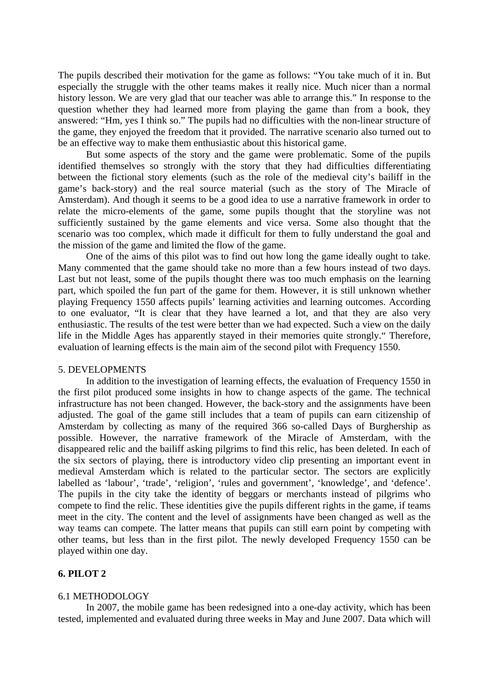The pupils described their motivation for the game as follows: "You take much of it in. But especially the struggle with the other teams makes it really nice. Much nicer than a normal history lesson. We are very glad that our teacher was able to arrange this." In response to the question whether they had learned more from playing the game than from a book, they answered: "Hm, yes I think so." The pupils had no difficulties with the non-linear structure of the game, they enjoyed the freedom that it provided. The narrative scenario also turned out to be an effective way to make them enthusiastic about this historical game.

But some aspects of the story and the game were problematic. Some of the pupils identified themselves so strongly with the story that they had difficulties differentiating between the fictional story elements (such as the role of the medieval city's bailiff in the game's back-story) and the real source material (such as the story of The Miracle of Amsterdam). And though it seems to be a good idea to use a narrative framework in order to relate the micro-elements of the game, some pupils thought that the storyline was not sufficiently sustained by the game elements and vice versa. Some also thought that the scenario was too complex, which made it difficult for them to fully understand the goal and the mission of the game and limited the flow of the game.

One of the aims of this pilot was to find out how long the game ideally ought to take. Many commented that the game should take no more than a few hours instead of two days. Last but not least, some of the pupils thought there was too much emphasis on the learning part, which spoiled the fun part of the game for them. However, it is still unknown whether playing Frequency 1550 affects pupils' learning activities and learning outcomes. According to one evaluator, "It is clear that they have learned a lot, and that they are also very enthusiastic. The results of the test were better than we had expected. Such a view on the daily life in the Middle Ages has apparently stayed in their memories quite strongly." Therefore, evaluation of learning effects is the main aim of the second pilot with Frequency 1550.

#### 5. DEVELOPMENTS

In addition to the investigation of learning effects, the evaluation of Frequency 1550 in the first pilot produced some insights in how to change aspects of the game. The technical infrastructure has not been changed. However, the back-story and the assignments have been adjusted. The goal of the game still includes that a team of pupils can earn citizenship of Amsterdam by collecting as many of the required 366 so-called Days of Burghership as possible. However, the narrative framework of the Miracle of Amsterdam, with the disappeared relic and the bailiff asking pilgrims to find this relic, has been deleted. In each of the six sectors of playing, there is introductory video clip presenting an important event in medieval Amsterdam which is related to the particular sector. The sectors are explicitly labelled as 'labour', 'trade', 'religion', 'rules and government', 'knowledge', and 'defence'. The pupils in the city take the identity of beggars or merchants instead of pilgrims who compete to find the relic. These identities give the pupils different rights in the game, if teams meet in the city. The content and the level of assignments have been changed as well as the way teams can compete. The latter means that pupils can still earn point by competing with other teams, but less than in the first pilot. The newly developed Frequency 1550 can be played within one day.

#### **6. PILOT 2**

#### 6.1 METHODOLOGY

In 2007, the mobile game has been redesigned into a one-day activity, which has been tested, implemented and evaluated during three weeks in May and June 2007. Data which will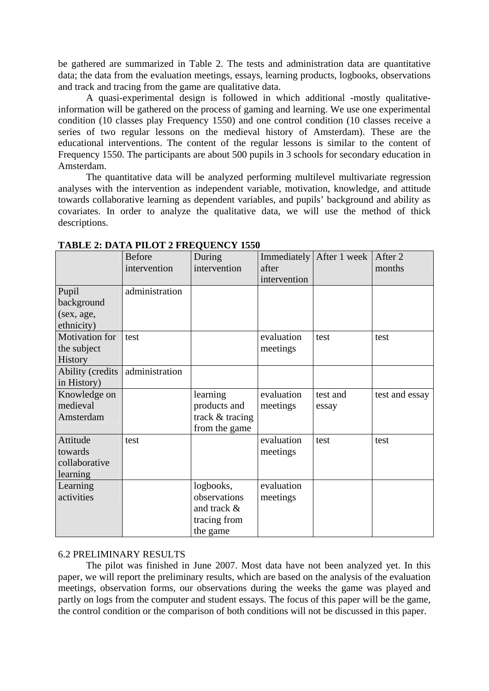be gathered are summarized in Table 2. The tests and administration data are quantitative data; the data from the evaluation meetings, essays, learning products, logbooks, observations and track and tracing from the game are qualitative data.

A quasi-experimental design is followed in which additional -mostly qualitativeinformation will be gathered on the process of gaming and learning. We use one experimental condition (10 classes play Frequency 1550) and one control condition (10 classes receive a series of two regular lessons on the medieval history of Amsterdam). These are the educational interventions. The content of the regular lessons is similar to the content of Frequency 1550. The participants are about 500 pupils in 3 schools for secondary education in Amsterdam.

The quantitative data will be analyzed performing multilevel multivariate regression analyses with the intervention as independent variable, motivation, knowledge, and attitude towards collaborative learning as dependent variables, and pupils' background and ability as covariates. In order to analyze the qualitative data, we will use the method of thick descriptions.

|                       | <b>Before</b>  | During          | <b>Immediately</b> | After 1 week | After 2        |
|-----------------------|----------------|-----------------|--------------------|--------------|----------------|
|                       | intervention   | intervention    | after              |              | months         |
|                       |                |                 | intervention       |              |                |
| Pupil                 | administration |                 |                    |              |                |
| background            |                |                 |                    |              |                |
| (sex, age,            |                |                 |                    |              |                |
| ethnicity)            |                |                 |                    |              |                |
| <b>Motivation</b> for | test           |                 | evaluation         | test         | test           |
| the subject           |                |                 | meetings           |              |                |
| History               |                |                 |                    |              |                |
| Ability (credits      | administration |                 |                    |              |                |
| in History)           |                |                 |                    |              |                |
| Knowledge on          |                | learning        | evaluation         | test and     | test and essay |
| medieval              |                | products and    | meetings           | essay        |                |
| Amsterdam             |                | track & tracing |                    |              |                |
|                       |                | from the game   |                    |              |                |
| Attitude              | test           |                 | evaluation         | test         | test           |
| towards               |                |                 | meetings           |              |                |
| collaborative         |                |                 |                    |              |                |
| learning              |                |                 |                    |              |                |
| Learning              |                | logbooks,       | evaluation         |              |                |
| activities            |                | observations    | meetings           |              |                |
|                       |                | and track &     |                    |              |                |
|                       |                | tracing from    |                    |              |                |
|                       |                | the game        |                    |              |                |

**TABLE 2: DATA PILOT 2 FREQUENCY 1550** 

## 6.2 PRELIMINARY RESULTS

The pilot was finished in June 2007. Most data have not been analyzed yet. In this paper, we will report the preliminary results, which are based on the analysis of the evaluation meetings, observation forms, our observations during the weeks the game was played and partly on logs from the computer and student essays. The focus of this paper will be the game, the control condition or the comparison of both conditions will not be discussed in this paper.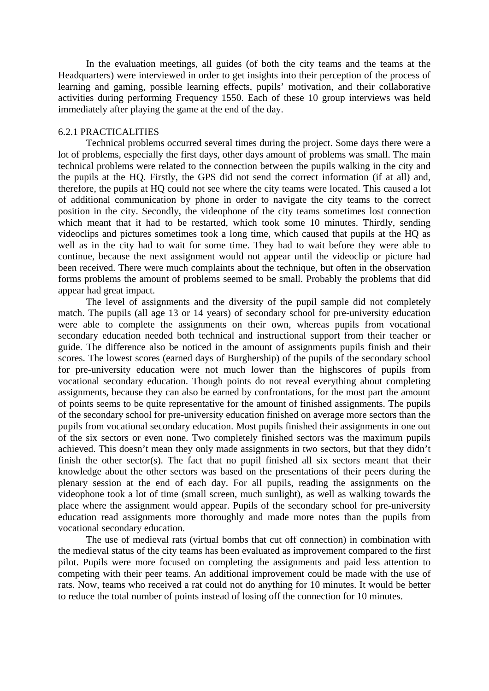In the evaluation meetings, all guides (of both the city teams and the teams at the Headquarters) were interviewed in order to get insights into their perception of the process of learning and gaming, possible learning effects, pupils' motivation, and their collaborative activities during performing Frequency 1550. Each of these 10 group interviews was held immediately after playing the game at the end of the day.

## 6.2.1 PRACTICALITIES

Technical problems occurred several times during the project. Some days there were a lot of problems, especially the first days, other days amount of problems was small. The main technical problems were related to the connection between the pupils walking in the city and the pupils at the HQ. Firstly, the GPS did not send the correct information (if at all) and, therefore, the pupils at HQ could not see where the city teams were located. This caused a lot of additional communication by phone in order to navigate the city teams to the correct position in the city. Secondly, the videophone of the city teams sometimes lost connection which meant that it had to be restarted, which took some 10 minutes. Thirdly, sending videoclips and pictures sometimes took a long time, which caused that pupils at the HQ as well as in the city had to wait for some time. They had to wait before they were able to continue, because the next assignment would not appear until the videoclip or picture had been received. There were much complaints about the technique, but often in the observation forms problems the amount of problems seemed to be small. Probably the problems that did appear had great impact.

The level of assignments and the diversity of the pupil sample did not completely match. The pupils (all age 13 or 14 years) of secondary school for pre-university education were able to complete the assignments on their own, whereas pupils from vocational secondary education needed both technical and instructional support from their teacher or guide. The difference also be noticed in the amount of assignments pupils finish and their scores. The lowest scores (earned days of Burghership) of the pupils of the secondary school for pre-university education were not much lower than the highscores of pupils from vocational secondary education. Though points do not reveal everything about completing assignments, because they can also be earned by confrontations, for the most part the amount of points seems to be quite representative for the amount of finished assignments. The pupils of the secondary school for pre-university education finished on average more sectors than the pupils from vocational secondary education. Most pupils finished their assignments in one out of the six sectors or even none. Two completely finished sectors was the maximum pupils achieved. This doesn't mean they only made assignments in two sectors, but that they didn't finish the other sector(s). The fact that no pupil finished all six sectors meant that their knowledge about the other sectors was based on the presentations of their peers during the plenary session at the end of each day. For all pupils, reading the assignments on the videophone took a lot of time (small screen, much sunlight), as well as walking towards the place where the assignment would appear. Pupils of the secondary school for pre-university education read assignments more thoroughly and made more notes than the pupils from vocational secondary education.

The use of medieval rats (virtual bombs that cut off connection) in combination with the medieval status of the city teams has been evaluated as improvement compared to the first pilot. Pupils were more focused on completing the assignments and paid less attention to competing with their peer teams. An additional improvement could be made with the use of rats. Now, teams who received a rat could not do anything for 10 minutes. It would be better to reduce the total number of points instead of losing off the connection for 10 minutes.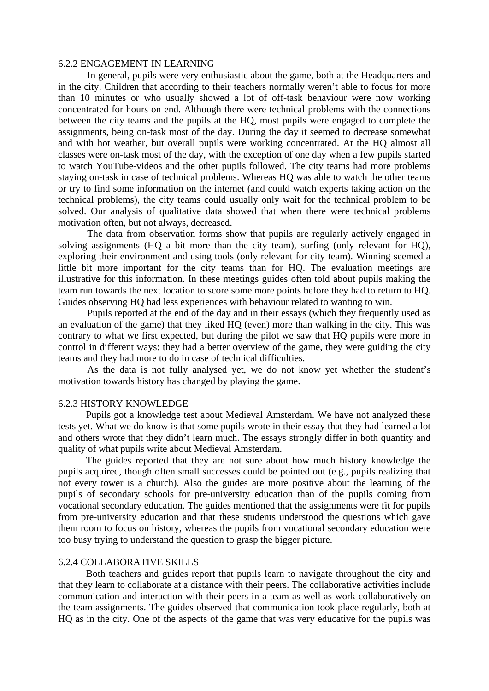#### 6.2.2 ENGAGEMENT IN LEARNING

In general, pupils were very enthusiastic about the game, both at the Headquarters and in the city. Children that according to their teachers normally weren't able to focus for more than 10 minutes or who usually showed a lot of off-task behaviour were now working concentrated for hours on end. Although there were technical problems with the connections between the city teams and the pupils at the HQ, most pupils were engaged to complete the assignments, being on-task most of the day. During the day it seemed to decrease somewhat and with hot weather, but overall pupils were working concentrated. At the HQ almost all classes were on-task most of the day, with the exception of one day when a few pupils started to watch YouTube-videos and the other pupils followed. The city teams had more problems staying on-task in case of technical problems. Whereas HQ was able to watch the other teams or try to find some information on the internet (and could watch experts taking action on the technical problems), the city teams could usually only wait for the technical problem to be solved. Our analysis of qualitative data showed that when there were technical problems motivation often, but not always, decreased.

The data from observation forms show that pupils are regularly actively engaged in solving assignments (HQ a bit more than the city team), surfing (only relevant for HQ), exploring their environment and using tools (only relevant for city team). Winning seemed a little bit more important for the city teams than for HQ. The evaluation meetings are illustrative for this information. In these meetings guides often told about pupils making the team run towards the next location to score some more points before they had to return to HQ. Guides observing HQ had less experiences with behaviour related to wanting to win.

Pupils reported at the end of the day and in their essays (which they frequently used as an evaluation of the game) that they liked HQ (even) more than walking in the city. This was contrary to what we first expected, but during the pilot we saw that HQ pupils were more in control in different ways: they had a better overview of the game, they were guiding the city teams and they had more to do in case of technical difficulties.

As the data is not fully analysed yet, we do not know yet whether the student's motivation towards history has changed by playing the game.

#### 6.2.3 HISTORY KNOWLEDGE

Pupils got a knowledge test about Medieval Amsterdam. We have not analyzed these tests yet. What we do know is that some pupils wrote in their essay that they had learned a lot and others wrote that they didn't learn much. The essays strongly differ in both quantity and quality of what pupils write about Medieval Amsterdam.

The guides reported that they are not sure about how much history knowledge the pupils acquired, though often small successes could be pointed out (e.g., pupils realizing that not every tower is a church). Also the guides are more positive about the learning of the pupils of secondary schools for pre-university education than of the pupils coming from vocational secondary education. The guides mentioned that the assignments were fit for pupils from pre-university education and that these students understood the questions which gave them room to focus on history, whereas the pupils from vocational secondary education were too busy trying to understand the question to grasp the bigger picture.

## 6.2.4 COLLABORATIVE SKILLS

Both teachers and guides report that pupils learn to navigate throughout the city and that they learn to collaborate at a distance with their peers. The collaborative activities include communication and interaction with their peers in a team as well as work collaboratively on the team assignments. The guides observed that communication took place regularly, both at HQ as in the city. One of the aspects of the game that was very educative for the pupils was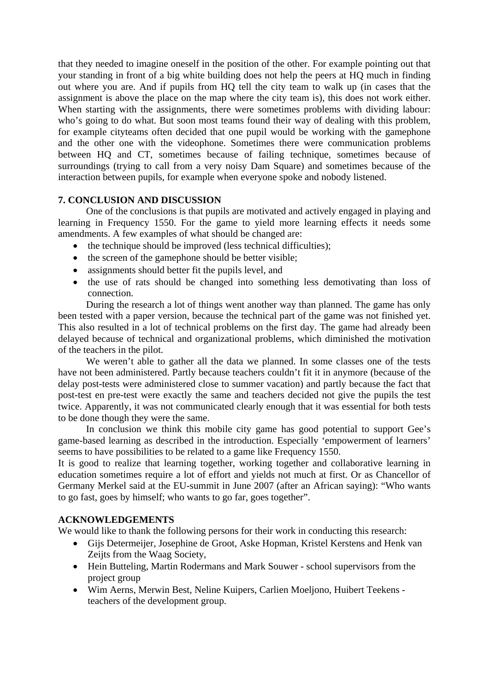that they needed to imagine oneself in the position of the other. For example pointing out that your standing in front of a big white building does not help the peers at HQ much in finding out where you are. And if pupils from HQ tell the city team to walk up (in cases that the assignment is above the place on the map where the city team is), this does not work either. When starting with the assignments, there were sometimes problems with dividing labour: who's going to do what. But soon most teams found their way of dealing with this problem, for example cityteams often decided that one pupil would be working with the gamephone and the other one with the videophone. Sometimes there were communication problems between HQ and CT, sometimes because of failing technique, sometimes because of surroundings (trying to call from a very noisy Dam Square) and sometimes because of the interaction between pupils, for example when everyone spoke and nobody listened.

# **7. CONCLUSION AND DISCUSSION**

One of the conclusions is that pupils are motivated and actively engaged in playing and learning in Frequency 1550. For the game to yield more learning effects it needs some amendments. A few examples of what should be changed are:

- the technique should be improved (less technical difficulties);
- the screen of the gamephone should be better visible:
- assignments should better fit the pupils level, and
- the use of rats should be changed into something less demotivating than loss of connection.

During the research a lot of things went another way than planned. The game has only been tested with a paper version, because the technical part of the game was not finished yet. This also resulted in a lot of technical problems on the first day. The game had already been delayed because of technical and organizational problems, which diminished the motivation of the teachers in the pilot.

We weren't able to gather all the data we planned. In some classes one of the tests have not been administered. Partly because teachers couldn't fit it in anymore (because of the delay post-tests were administered close to summer vacation) and partly because the fact that post-test en pre-test were exactly the same and teachers decided not give the pupils the test twice. Apparently, it was not communicated clearly enough that it was essential for both tests to be done though they were the same.

In conclusion we think this mobile city game has good potential to support Gee's game-based learning as described in the introduction. Especially 'empowerment of learners' seems to have possibilities to be related to a game like Frequency 1550.

It is good to realize that learning together, working together and collaborative learning in education sometimes require a lot of effort and yields not much at first. Or as Chancellor of Germany Merkel said at the EU-summit in June 2007 (after an African saying): "Who wants to go fast, goes by himself; who wants to go far, goes together".

## **ACKNOWLEDGEMENTS**

We would like to thank the following persons for their work in conducting this research:

- Gijs Determeijer, Josephine de Groot, Aske Hopman, Kristel Kerstens and Henk van Zeijts from the Waag Society,
- Hein Butteling, Martin Rodermans and Mark Souwer school supervisors from the project group
- Wim Aerns, Merwin Best, Neline Kuipers, Carlien Moeljono, Huibert Teekens teachers of the development group.